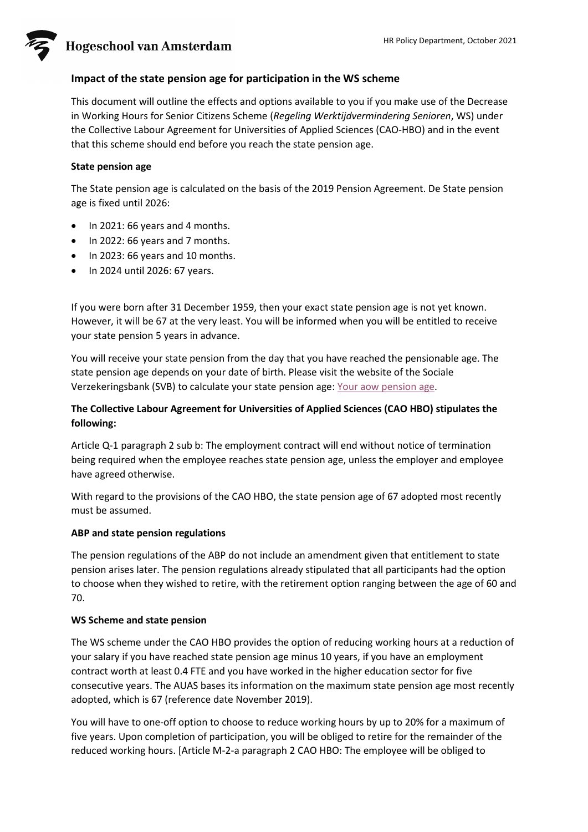**Hogeschool van Amsterdam** 

## **Impact of the state pension age for participation in the WS scheme**

This document will outline the effects and options available to you if you make use of the Decrease in Working Hours for Senior Citizens Scheme (*Regeling Werktijdvermindering Senioren*, WS) under the Collective Labour Agreement for Universities of Applied Sciences (CAO-HBO) and in the event that this scheme should end before you reach the state pension age.

### **State pension age**

The State pension age is calculated on the basis of the 2019 Pension Agreement. De State pension age is fixed until 2026:

- In 2021: 66 years and 4 months.
- In 2022: 66 years and 7 months.
- In 2023: 66 years and 10 months.
- In 2024 until 2026: 67 years.

If you were born after 31 December 1959, then your exact state pension age is not yet known. However, it will be 67 at the very least. You will be informed when you will be entitled to receive your state pension 5 years in advance.

You will receive your state pension from the day that you have reached the pensionable age. The state pension age depends on your date of birth. Please visit the website of the Sociale Verzekeringsbank (SVB) to calculate your state pension age: [Your aow pension age.](https://www.svb.nl/en/aow-pension/aow-pension-age/your-aow-pension-age)

## **The Collective Labour Agreement for Universities of Applied Sciences (CAO HBO) stipulates the following:**

Article Q-1 paragraph 2 sub b: The employment contract will end without notice of termination being required when the employee reaches state pension age, unless the employer and employee have agreed otherwise.

With regard to the provisions of the CAO HBO, the state pension age of 67 adopted most recently must be assumed.

#### **ABP and state pension regulations**

The pension regulations of the ABP do not include an amendment given that entitlement to state pension arises later. The pension regulations already stipulated that all participants had the option to choose when they wished to retire, with the retirement option ranging between the age of 60 and 70.

#### **WS Scheme and state pension**

The WS scheme under the CAO HBO provides the option of reducing working hours at a reduction of your salary if you have reached state pension age minus 10 years, if you have an employment contract worth at least 0.4 FTE and you have worked in the higher education sector for five consecutive years. The AUAS bases its information on the maximum state pension age most recently adopted, which is 67 (reference date November 2019).

You will have to one-off option to choose to reduce working hours by up to 20% for a maximum of five years. Upon completion of participation, you will be obliged to retire for the remainder of the reduced working hours. [Article M-2-a paragraph 2 CAO HBO: The employee will be obliged to